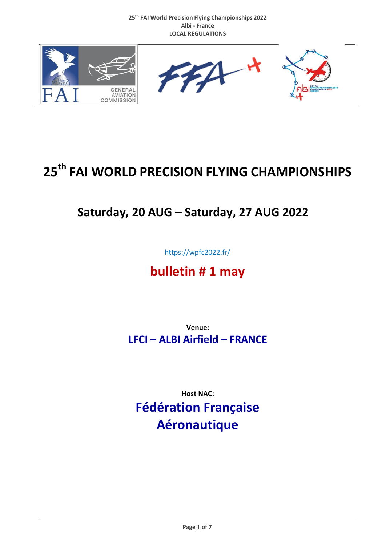

# **25 th FAI WORLD PRECISION FLYING CHAMPIONSHIPS**

# **Saturday, 20 AUG – Saturday, 27 AUG 2022**

https://wpfc2022.fr/

# **bulletin # 1 may**

**Venue: LFCI – ALBI Airfield – FRANCE**

**Host NAC:**

**Fédération Française Aéronautique**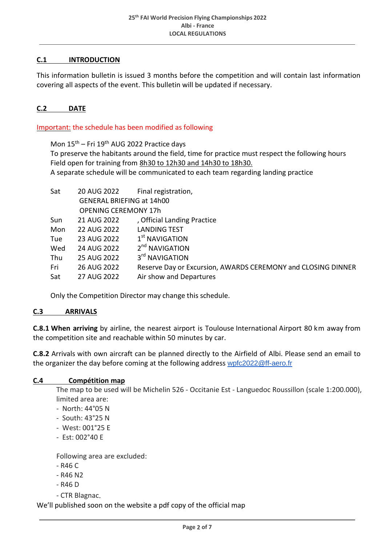# **C.1 INTRODUCTION**

This information bulletin is issued 3 months before the competition and will contain last information covering all aspects of the event. This bulletin will be updated if necessary.

#### **C.2 DATE**

Important: the schedule has been modified as following

Mon  $15<sup>th</sup>$  – Fri  $19<sup>th</sup>$  AUG 2022 Practice days To preserve the habitants around the field, time for practice must respect the following hours Field open for training from 8h30 to 12h30 and 14h30 to 18h30. A separate schedule will be communicated to each team regarding landing practice

| Sat | 20 AUG 2022                      | Final registration,                                          |  |  |
|-----|----------------------------------|--------------------------------------------------------------|--|--|
|     | <b>GENERAL BRIEFING at 14h00</b> |                                                              |  |  |
|     | <b>OPENING CEREMONY 17h</b>      |                                                              |  |  |
| Sun | 21 AUG 2022                      | , Official Landing Practice                                  |  |  |
| Mon | 22 AUG 2022                      | <b>LANDING TEST</b>                                          |  |  |
| Tue | 23 AUG 2022                      | $1st$ NAVIGATION                                             |  |  |
| Wed | 24 AUG 2022                      | 2 <sup>nd</sup> NAVIGATION                                   |  |  |
| Thu | 25 AUG 2022                      | 3 <sup>rd</sup> NAVIGATION                                   |  |  |
| Fri | 26 AUG 2022                      | Reserve Day or Excursion, AWARDS CEREMONY and CLOSING DINNER |  |  |
| Sat | 27 AUG 2022                      | Air show and Departures                                      |  |  |

Only the Competition Director may change this schedule.

#### **C.3 ARRIVALS**

**C.8.1 When arriving** by airline, the nearest airport is Toulouse International Airport 80 km away from the competition site and reachable within 50 minutes by car.

**C.8.2** Arrivals with own aircraft can be planned directly to the Airfield of Albi. Please send an email to the organizer the day before coming at the following address [wpfc2022@ff-aero.fr](mailto:wpfc2022@ff-aero.fr)

### **C.4 Compétition map**

The map to be used will be Michelin 526 - Occitanie Est - Languedoc Roussillon (scale 1:200.000), limited area are:

- North: 44°05 N
- South: 43°25 N
- West: 001°25 E
- Est: 002°40 E

Following area are excluded:

- R46 C
- R46 N2
- R46 D
- CTR Blagnac.

We'll published soon on the website a pdf copy of the official map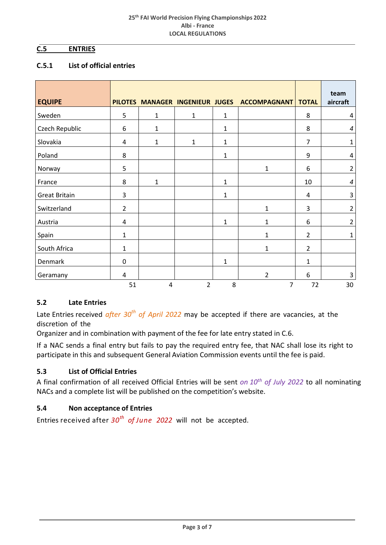# **C.5 ENTRIES**

### **C.5.1 List of official entries**

| <b>EQUIPE</b>        |                |                |                |              | PILOTES MANAGER INGENIEUR JUGES ACCOMPAGNANT | <b>TOTAL</b>   | team<br>aircraft |
|----------------------|----------------|----------------|----------------|--------------|----------------------------------------------|----------------|------------------|
| Sweden               | 5              | $\mathbf 1$    | $\mathbf{1}$   | $\mathbf{1}$ |                                              | 8              | 4                |
| Czech Republic       | 6              | $\mathbf 1$    |                | $\mathbf{1}$ |                                              | 8              | $\boldsymbol{4}$ |
| Slovakia             | 4              | $\mathbf 1$    | $\mathbf{1}$   | $\mathbf 1$  |                                              | $\overline{7}$ | $\mathbf 1$      |
| Poland               | 8              |                |                | $\mathbf 1$  |                                              | 9              | 4                |
| Norway               | 5              |                |                |              | 1                                            | 6              | $\overline{2}$   |
| France               | 8              | $\mathbf 1$    |                | $\mathbf{1}$ |                                              | 10             | $\boldsymbol{4}$ |
| <b>Great Britain</b> | 3              |                |                | $\mathbf{1}$ |                                              | 4              | $\overline{3}$   |
| Switzerland          | $\overline{2}$ |                |                |              | $\mathbf{1}$                                 | 3              | $\overline{2}$   |
| Austria              | 4              |                |                | $\mathbf{1}$ | $\mathbf{1}$                                 | 6              | $\overline{2}$   |
| Spain                | $\mathbf{1}$   |                |                |              | 1                                            | $\overline{2}$ | $\mathbf{1}$     |
| South Africa         | $\mathbf{1}$   |                |                |              | $\mathbf{1}$                                 | $\overline{2}$ |                  |
| Denmark              | $\mathbf 0$    |                |                | $\mathbf{1}$ |                                              | $\mathbf{1}$   |                  |
| Geramany             | 4              |                |                |              | $\overline{2}$                               | 6              | $\mathbf{3}$     |
|                      | 51             | $\overline{4}$ | $\overline{2}$ | 8            | $\overline{7}$                               | 72             | 30               |

### **5.2 Late Entries**

Late Entries received *after 30th of April 2022* may be accepted if there are vacancies, at the discretion of the

Organizer and in combination with payment of the fee for late entry stated in C.6.

If a NAC sends a final entry but fails to pay the required entry fee, that NAC shall lose its right to participate in this and subsequent General Aviation Commission events until the fee is paid.

### **5.3 List of Official Entries**

A final confirmation of all received Official Entries will be sent *on 10th of July 2022* to all nominating NACs and a complete list will be published on the competition's website.

# **5.4 Non acceptance of Entries**

Entries received after *30th of June 2022* will not be accepted.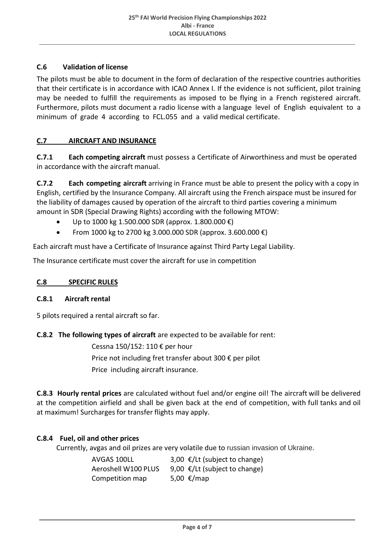# **C.6 Validation of license**

The pilots must be able to document in the form of declaration of the respective countries authorities that their certificate is in accordance with ICAO Annex I. If the evidence is not sufficient, pilot training may be needed to fulfill the requirements as imposed to be flying in a French registered aircraft. Furthermore, pilots must document a radio license with a language level of English equivalent to a minimum of grade 4 according to FCL.055 and a valid medical certificate.

### **C.7 AIRCRAFT AND INSURANCE**

**C.7.1 Each competing aircraft** must possess a Certificate of Airworthiness and must be operated in accordance with the aircraft manual.

**C.7.2 Each competing aircraft** arriving in France must be able to present the policy with a copy in English, certified by the Insurance Company. All aircraft using the French airspace must be insured for the liability of damages caused by operation of the aircraft to third parties covering a minimum amount in SDR (Special Drawing Rights) according with the following MTOW:

- Up to 1000 kg 1.500.000 SDR (approx. 1.800.000  $\epsilon$ )
- From 1000 kg to 2700 kg 3.000.000 SDR (approx. 3.600.000  $\epsilon$ )

Each aircraft must have a Certificate of Insurance against Third Party Legal Liability.

The Insurance certificate must cover the aircraft for use in competition

#### **C.8 SPECIFIC RULES**

#### **C.8.1 Aircraft rental**

5 pilots required a rental aircraft so far.

#### **C.8.2 The following types of aircraft** are expected to be available for rent:

Cessna 150/152: 110 € per hour Price not including fret transfer about 300 € per pilot Price including aircraft insurance.

**C.8.3 Hourly rental prices** are calculated without fuel and/or engine oil! The aircraft will be delivered at the competition airfield and shall be given back at the end of competition, with full tanks and oil at maximum! Surcharges for transfer flights may apply.

#### **C.8.4 Fuel, oil and other prices**

Currently, avgas and oil prizes are very volatile due to russian invasion of Ukraine.

| AVGAS 100LL         | 3,00 €/Lt (subject to change) |
|---------------------|-------------------------------|
| Aeroshell W100 PLUS | 9,00 €/Lt (subject to change) |
| Competition map     | 5,00 €/map                    |